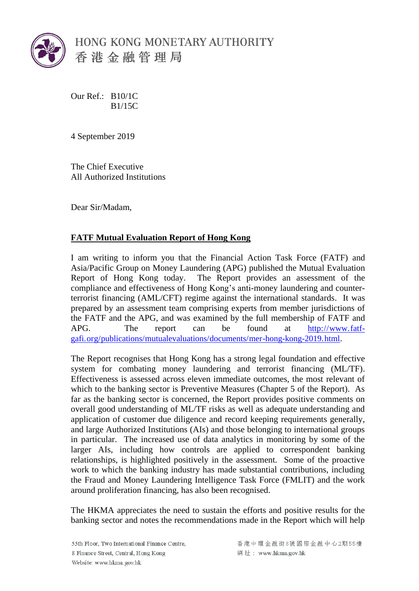

Our Ref.: B10/1C B1/15C

4 September 2019

The Chief Executive All Authorized Institutions

Dear Sir/Madam,

## **FATF Mutual Evaluation Report of Hong Kong**

I am writing to inform you that the Financial Action Task Force (FATF) and Asia/Pacific Group on Money Laundering (APG) published the Mutual Evaluation Report of Hong Kong today. The Report provides an assessment of the compliance and effectiveness of Hong Kong's anti-money laundering and counterterrorist financing (AML/CFT) regime against the international standards. It was prepared by an assessment team comprising experts from member jurisdictions of the FATF and the APG, and was examined by the full membership of FATF and APG. The report can be found at [http://www.fatf](http://www.fatf-gafi.org/publications/mutualevaluations/documents/mer-hong-kong-2019.html)[gafi.org/publications/mutualevaluations/documents/mer-hong-kong-2019.html](http://www.fatf-gafi.org/publications/mutualevaluations/documents/mer-hong-kong-2019.html).

The Report recognises that Hong Kong has a strong legal foundation and effective system for combating money laundering and terrorist financing (ML/TF). Effectiveness is assessed across eleven immediate outcomes, the most relevant of which to the banking sector is Preventive Measures (Chapter 5 of the Report). As far as the banking sector is concerned, the Report provides positive comments on overall good understanding of ML/TF risks as well as adequate understanding and application of customer due diligence and record keeping requirements generally, and large Authorized Institutions (AIs) and those belonging to international groups in particular. The increased use of data analytics in monitoring by some of the larger AIs, including how controls are applied to correspondent banking relationships, is highlighted positively in the assessment. Some of the proactive work to which the banking industry has made substantial contributions, including the Fraud and Money Laundering Intelligence Task Force (FMLIT) and the work around proliferation financing, has also been recognised.

The HKMA appreciates the need to sustain the efforts and positive results for the banking sector and notes the recommendations made in the Report which will help